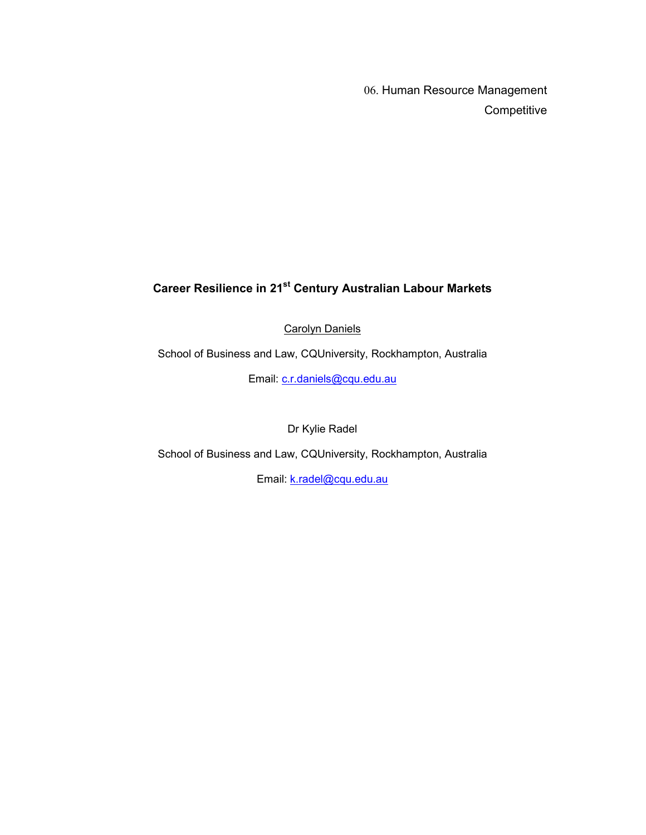06. Human Resource Management **Competitive** 

# **Career Resilience in 21st Century Australian Labour Markets**

Carolyn Daniels

School of Business and Law, CQUniversity, Rockhampton, Australia

Email: c.r.daniels@cqu.edu.au

Dr Kylie Radel

School of Business and Law, CQUniversity, Rockhampton, Australia

Email: k.radel@cqu.edu.au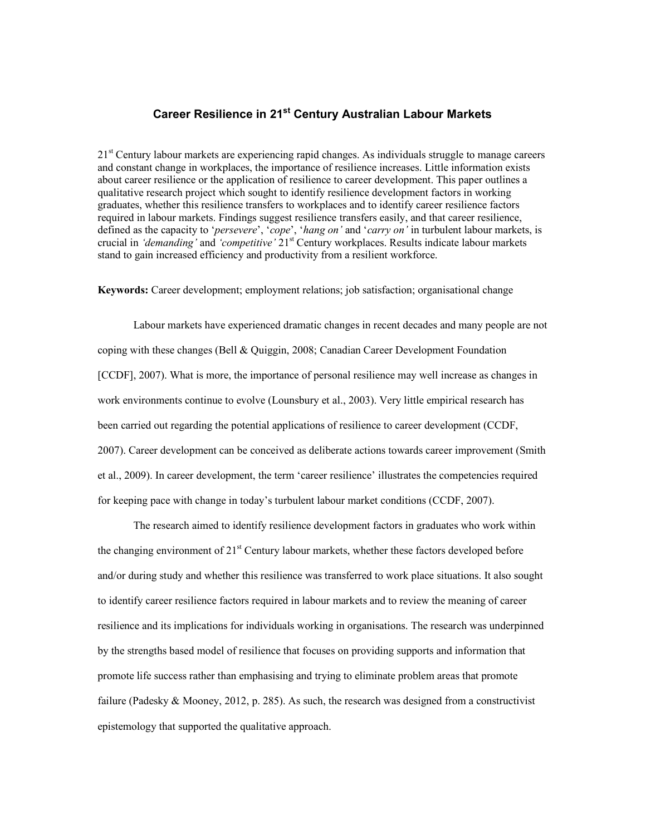# **Career Resilience in 21st Century Australian Labour Markets**

 $21<sup>st</sup>$  Century labour markets are experiencing rapid changes. As individuals struggle to manage careers and constant change in workplaces, the importance of resilience increases. Little information exists about career resilience or the application of resilience to career development. This paper outlines a qualitative research project which sought to identify resilience development factors in working graduates, whether this resilience transfers to workplaces and to identify career resilience factors required in labour markets. Findings suggest resilience transfers easily, and that career resilience, defined as the capacity to '*persevere*', '*cope*', '*hang on'* and '*carry on'* in turbulent labour markets, is crucial in *'demanding'* and *'competitive'* 21st Century workplaces. Results indicate labour markets stand to gain increased efficiency and productivity from a resilient workforce.

**Keywords:** Career development; employment relations; job satisfaction; organisational change

Labour markets have experienced dramatic changes in recent decades and many people are not coping with these changes (Bell & Quiggin, 2008; Canadian Career Development Foundation [CCDF], 2007). What is more, the importance of personal resilience may well increase as changes in work environments continue to evolve (Lounsbury et al., 2003). Very little empirical research has been carried out regarding the potential applications of resilience to career development (CCDF, 2007). Career development can be conceived as deliberate actions towards career improvement (Smith et al., 2009). In career development, the term 'career resilience' illustrates the competencies required for keeping pace with change in today's turbulent labour market conditions (CCDF, 2007).

The research aimed to identify resilience development factors in graduates who work within the changing environment of  $21<sup>st</sup>$  Century labour markets, whether these factors developed before and/or during study and whether this resilience was transferred to work place situations. It also sought to identify career resilience factors required in labour markets and to review the meaning of career resilience and its implications for individuals working in organisations. The research was underpinned by the strengths based model of resilience that focuses on providing supports and information that promote life success rather than emphasising and trying to eliminate problem areas that promote failure (Padesky & Mooney, 2012, p. 285). As such, the research was designed from a constructivist epistemology that supported the qualitative approach.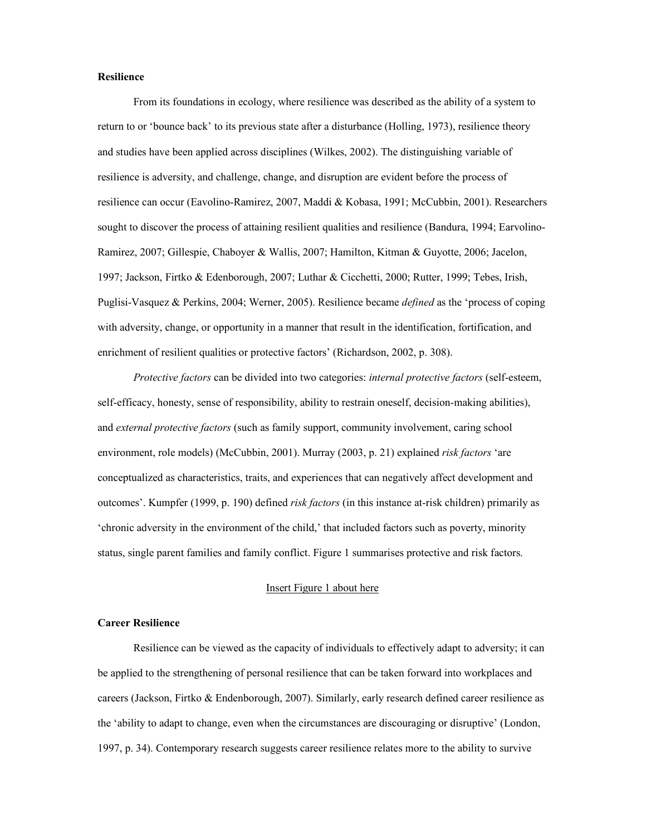#### **Resilience**

From its foundations in ecology, where resilience was described as the ability of a system to return to or 'bounce back' to its previous state after a disturbance (Holling, 1973), resilience theory and studies have been applied across disciplines (Wilkes, 2002). The distinguishing variable of resilience is adversity, and challenge, change, and disruption are evident before the process of resilience can occur (Eavolino-Ramirez, 2007, Maddi & Kobasa, 1991; McCubbin, 2001). Researchers sought to discover the process of attaining resilient qualities and resilience (Bandura, 1994; Earvolino-Ramirez, 2007; Gillespie, Chaboyer & Wallis, 2007; Hamilton, Kitman & Guyotte, 2006; Jacelon, 1997; Jackson, Firtko & Edenborough, 2007; Luthar & Cicchetti, 2000; Rutter, 1999; Tebes, Irish, Puglisi-Vasquez & Perkins, 2004; Werner, 2005). Resilience became *defined* as the 'process of coping with adversity, change, or opportunity in a manner that result in the identification, fortification, and enrichment of resilient qualities or protective factors' (Richardson, 2002, p. 308).

*Protective factors* can be divided into two categories: *internal protective factors* (self-esteem, self-efficacy, honesty, sense of responsibility, ability to restrain oneself, decision-making abilities), and *external protective factors* (such as family support, community involvement, caring school environment, role models) (McCubbin, 2001). Murray (2003, p. 21) explained *risk factors* 'are conceptualized as characteristics, traits, and experiences that can negatively affect development and outcomes'. Kumpfer (1999, p. 190) defined *risk factors* (in this instance at-risk children) primarily as 'chronic adversity in the environment of the child,' that included factors such as poverty, minority status, single parent families and family conflict. Figure 1 summarises protective and risk factors.

#### Insert Figure 1 about here

#### **Career Resilience**

Resilience can be viewed as the capacity of individuals to effectively adapt to adversity; it can be applied to the strengthening of personal resilience that can be taken forward into workplaces and careers (Jackson, Firtko & Endenborough, 2007). Similarly, early research defined career resilience as the 'ability to adapt to change, even when the circumstances are discouraging or disruptive' (London, 1997, p. 34). Contemporary research suggests career resilience relates more to the ability to survive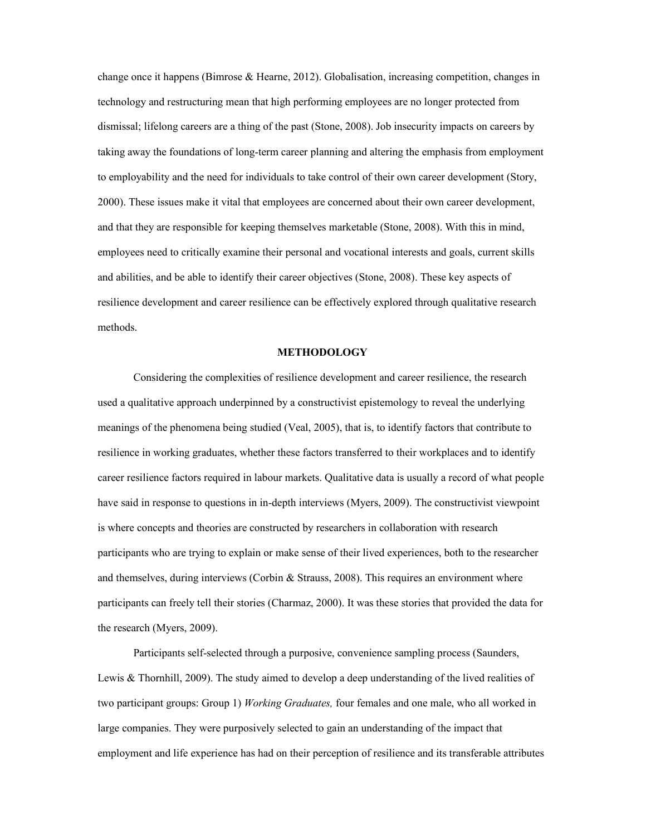change once it happens (Bimrose & Hearne, 2012). Globalisation, increasing competition, changes in technology and restructuring mean that high performing employees are no longer protected from dismissal; lifelong careers are a thing of the past (Stone, 2008). Job insecurity impacts on careers by taking away the foundations of long-term career planning and altering the emphasis from employment to employability and the need for individuals to take control of their own career development (Story, 2000). These issues make it vital that employees are concerned about their own career development, and that they are responsible for keeping themselves marketable (Stone, 2008). With this in mind, employees need to critically examine their personal and vocational interests and goals, current skills and abilities, and be able to identify their career objectives (Stone, 2008). These key aspects of resilience development and career resilience can be effectively explored through qualitative research methods.

#### **METHODOLOGY**

Considering the complexities of resilience development and career resilience, the research used a qualitative approach underpinned by a constructivist epistemology to reveal the underlying meanings of the phenomena being studied (Veal, 2005), that is, to identify factors that contribute to resilience in working graduates, whether these factors transferred to their workplaces and to identify career resilience factors required in labour markets. Qualitative data is usually a record of what people have said in response to questions in in-depth interviews (Myers, 2009). The constructivist viewpoint is where concepts and theories are constructed by researchers in collaboration with research participants who are trying to explain or make sense of their lived experiences, both to the researcher and themselves, during interviews (Corbin  $\&$  Strauss, 2008). This requires an environment where participants can freely tell their stories (Charmaz, 2000). It was these stories that provided the data for the research (Myers, 2009).

Participants self-selected through a purposive, convenience sampling process (Saunders, Lewis & Thornhill, 2009). The study aimed to develop a deep understanding of the lived realities of two participant groups: Group 1) *Working Graduates,* four females and one male, who all worked in large companies. They were purposively selected to gain an understanding of the impact that employment and life experience has had on their perception of resilience and its transferable attributes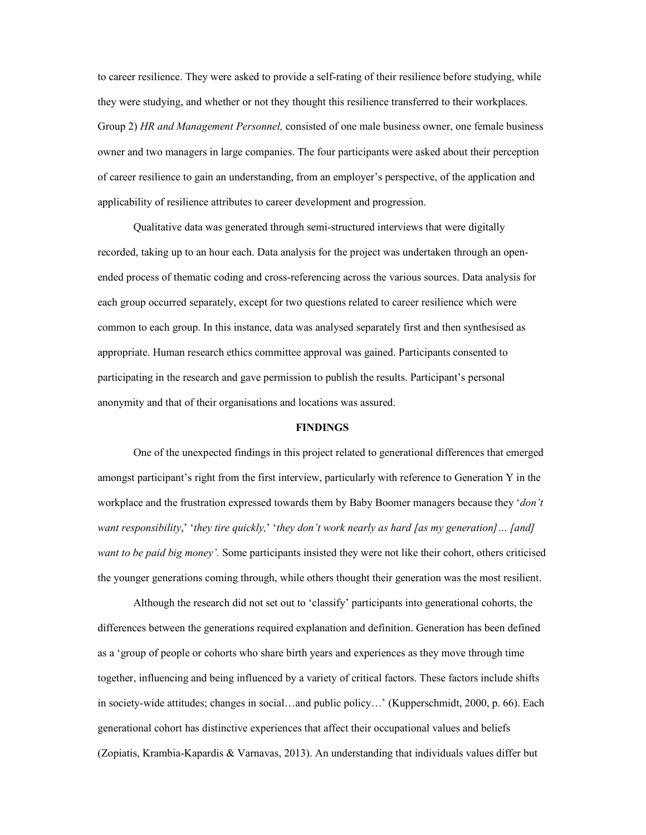to career resilience. They were asked to provide a self-rating of their resilience before studying, while they were studying, and whether or not they thought this resilience transferred to their workplaces. Group 2) *HR and Management Personnel,* consisted of one male business owner, one female business owner and two managers in large companies. The four participants were asked about their perception of career resilience to gain an understanding, from an employer's perspective, of the application and applicability of resilience attributes to career development and progression.

Qualitative data was generated through semi-structured interviews that were digitally recorded, taking up to an hour each. Data analysis for the project was undertaken through an openended process of thematic coding and cross-referencing across the various sources. Data analysis for each group occurred separately, except for two questions related to career resilience which were common to each group. In this instance, data was analysed separately first and then synthesised as appropriate. Human research ethics committee approval was gained. Participants consented to participating in the research and gave permission to publish the results. Participant's personal anonymity and that of their organisations and locations was assured.

#### **FINDINGS**

One of the unexpected findings in this project related to generational differences that emerged amongst participant's right from the first interview, particularly with reference to Generation Y in the workplace and the frustration expressed towards them by Baby Boomer managers because they '*don't want responsibility*,' '*they tire quickly,*' '*they don't work nearly as hard [as my generation]… [and] want to be paid big money'.* Some participants insisted they were not like their cohort, others criticised the younger generations coming through, while others thought their generation was the most resilient.

Although the research did not set out to 'classify' participants into generational cohorts, the differences between the generations required explanation and definition. Generation has been defined as a 'group of people or cohorts who share birth years and experiences as they move through time together, influencing and being influenced by a variety of critical factors. These factors include shifts in society-wide attitudes; changes in social…and public policy…' (Kupperschmidt, 2000, p. 66). Each generational cohort has distinctive experiences that affect their occupational values and beliefs (Zopiatis, Krambia-Kapardis & Varnavas, 2013). An understanding that individuals values differ but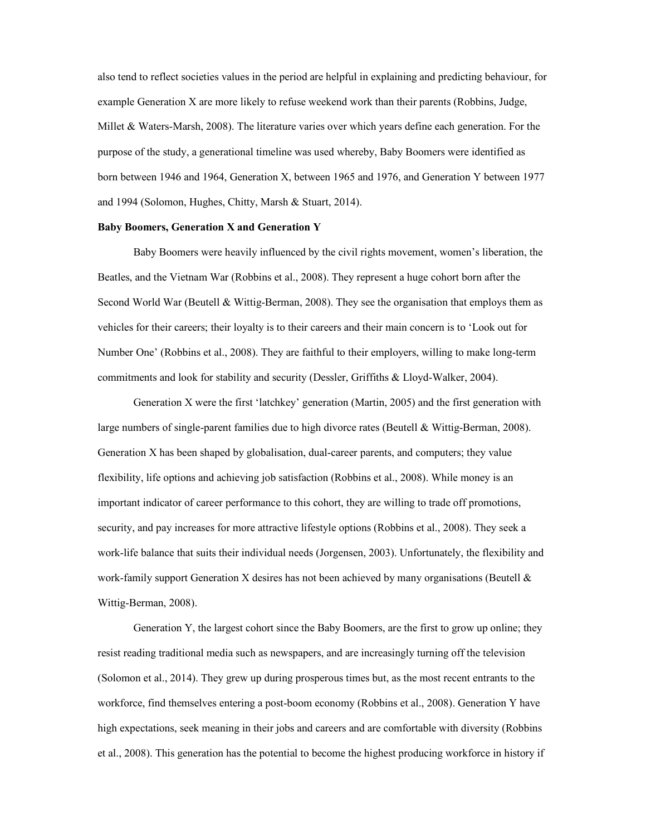also tend to reflect societies values in the period are helpful in explaining and predicting behaviour, for example Generation X are more likely to refuse weekend work than their parents (Robbins, Judge, Millet & Waters-Marsh, 2008). The literature varies over which years define each generation. For the purpose of the study, a generational timeline was used whereby, Baby Boomers were identified as born between 1946 and 1964, Generation X, between 1965 and 1976, and Generation Y between 1977 and 1994 (Solomon, Hughes, Chitty, Marsh & Stuart, 2014).

#### **Baby Boomers, Generation X and Generation Y**

Baby Boomers were heavily influenced by the civil rights movement, women's liberation, the Beatles, and the Vietnam War (Robbins et al., 2008). They represent a huge cohort born after the Second World War (Beutell & Wittig-Berman, 2008). They see the organisation that employs them as vehicles for their careers; their loyalty is to their careers and their main concern is to 'Look out for Number One' (Robbins et al., 2008). They are faithful to their employers, willing to make long-term commitments and look for stability and security (Dessler, Griffiths & Lloyd-Walker, 2004).

Generation X were the first 'latchkey' generation (Martin, 2005) and the first generation with large numbers of single-parent families due to high divorce rates (Beutell & Wittig-Berman, 2008). Generation X has been shaped by globalisation, dual-career parents, and computers; they value flexibility, life options and achieving job satisfaction (Robbins et al., 2008). While money is an important indicator of career performance to this cohort, they are willing to trade off promotions, security, and pay increases for more attractive lifestyle options (Robbins et al., 2008). They seek a work-life balance that suits their individual needs (Jorgensen, 2003). Unfortunately, the flexibility and work-family support Generation X desires has not been achieved by many organisations (Beutell & Wittig-Berman, 2008).

Generation Y, the largest cohort since the Baby Boomers, are the first to grow up online; they resist reading traditional media such as newspapers, and are increasingly turning off the television (Solomon et al., 2014). They grew up during prosperous times but, as the most recent entrants to the workforce, find themselves entering a post-boom economy (Robbins et al., 2008). Generation Y have high expectations, seek meaning in their jobs and careers and are comfortable with diversity (Robbins et al., 2008). This generation has the potential to become the highest producing workforce in history if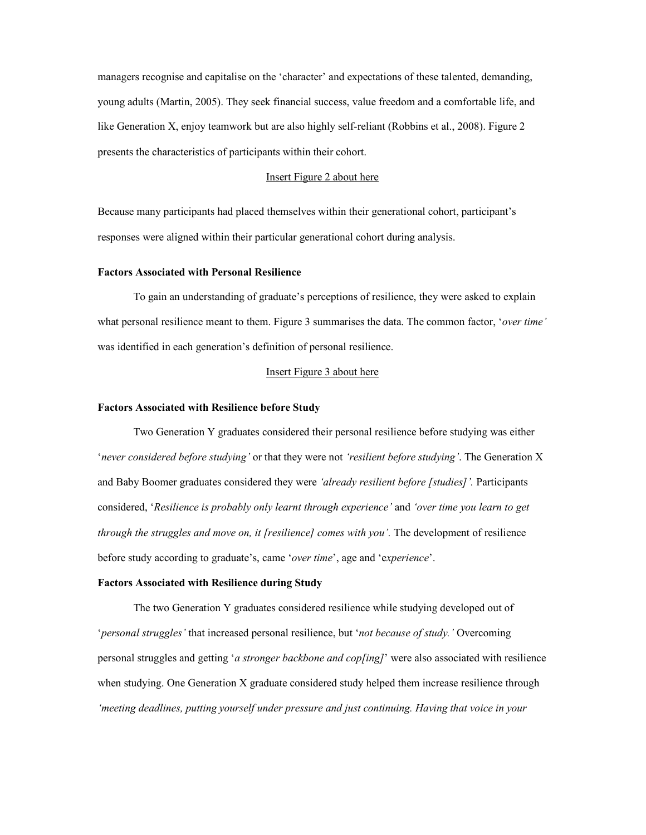managers recognise and capitalise on the 'character' and expectations of these talented, demanding, young adults (Martin, 2005). They seek financial success, value freedom and a comfortable life, and like Generation X, enjoy teamwork but are also highly self-reliant (Robbins et al., 2008). Figure 2 presents the characteristics of participants within their cohort.

#### Insert Figure 2 about here

Because many participants had placed themselves within their generational cohort, participant's responses were aligned within their particular generational cohort during analysis.

#### **Factors Associated with Personal Resilience**

To gain an understanding of graduate's perceptions of resilience, they were asked to explain what personal resilience meant to them. Figure 3 summarises the data. The common factor, '*over time'* was identified in each generation's definition of personal resilience.

### Insert Figure 3 about here

#### **Factors Associated with Resilience before Study**

Two Generation Y graduates considered their personal resilience before studying was either '*never considered before studying'* or that they were not *'resilient before studying'*. The Generation X and Baby Boomer graduates considered they were *'already resilient before [studies]'.* Participants considered, '*Resilience is probably only learnt through experience'* and *'over time you learn to get through the struggles and move on, it [resilience] comes with you'.* The development of resilience before study according to graduate's, came '*over time*', age and 'e*xperience*'.

#### **Factors Associated with Resilience during Study**

The two Generation Y graduates considered resilience while studying developed out of '*personal struggles'* that increased personal resilience, but '*not because of study.'* Overcoming personal struggles and getting '*a stronger backbone and cop[ing]*' were also associated with resilience when studying. One Generation X graduate considered study helped them increase resilience through *'meeting deadlines, putting yourself under pressure and just continuing. Having that voice in your*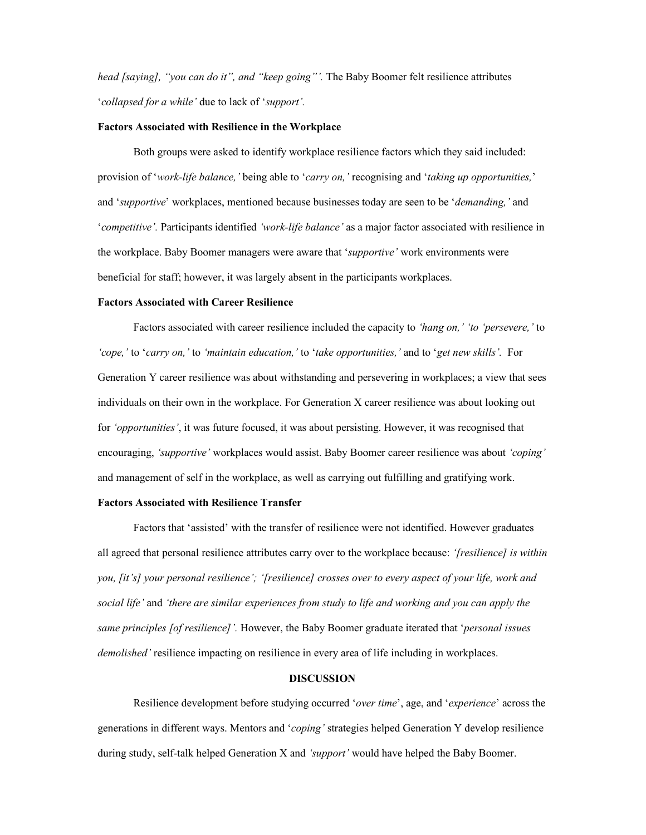*head [saying], "you can do it", and "keep going"'.* The Baby Boomer felt resilience attributes '*collapsed for a while'* due to lack of '*support'.*

#### **Factors Associated with Resilience in the Workplace**

Both groups were asked to identify workplace resilience factors which they said included: provision of '*work-life balance,'* being able to '*carry on,'* recognising and '*taking up opportunities,*' and '*supportive*' workplaces, mentioned because businesses today are seen to be '*demanding,'* and '*competitive'.* Participants identified *'work-life balance'* as a major factor associated with resilience in the workplace. Baby Boomer managers were aware that '*supportive'* work environments were beneficial for staff; however, it was largely absent in the participants workplaces.

# **Factors Associated with Career Resilience**

Factors associated with career resilience included the capacity to *'hang on,' 'to 'persevere,'* to *'cope,'* to '*carry on,'* to *'maintain education,'* to '*take opportunities,'* and to '*get new skills'.* For Generation Y career resilience was about withstanding and persevering in workplaces; a view that sees individuals on their own in the workplace. For Generation X career resilience was about looking out for *'opportunities'*, it was future focused, it was about persisting. However, it was recognised that encouraging, *'supportive'* workplaces would assist. Baby Boomer career resilience was about *'coping'* and management of self in the workplace, as well as carrying out fulfilling and gratifying work.

#### **Factors Associated with Resilience Transfer**

Factors that 'assisted' with the transfer of resilience were not identified. However graduates all agreed that personal resilience attributes carry over to the workplace because: *'[resilience] is within you, [it's] your personal resilience'; '[resilience] crosses over to every aspect of your life, work and social life'* and *'there are similar experiences from study to life and working and you can apply the same principles [of resilience]'.* However, the Baby Boomer graduate iterated that '*personal issues demolished'* resilience impacting on resilience in every area of life including in workplaces.

#### **DISCUSSION**

Resilience development before studying occurred '*over time*', age, and '*experience*' across the generations in different ways. Mentors and '*coping'* strategies helped Generation Y develop resilience during study, self-talk helped Generation X and *'support'* would have helped the Baby Boomer.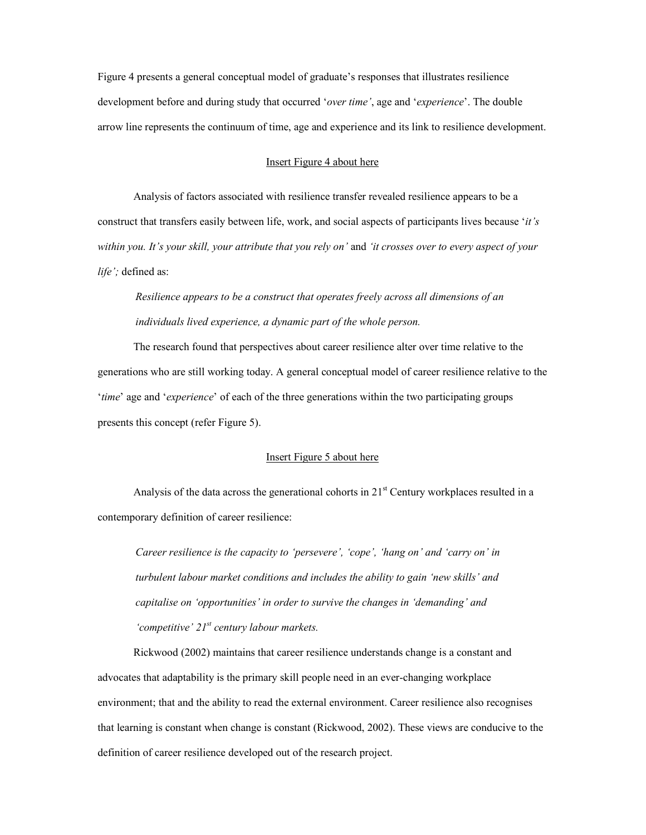Figure 4 presents a general conceptual model of graduate's responses that illustrates resilience development before and during study that occurred '*over time'*, age and '*experience*'. The double arrow line represents the continuum of time, age and experience and its link to resilience development.

#### Insert Figure 4 about here

Analysis of factors associated with resilience transfer revealed resilience appears to be a construct that transfers easily between life, work, and social aspects of participants lives because '*it's within you. It's your skill, your attribute that you rely on'* and *'it crosses over to every aspect of your life';* defined as:

*Resilience appears to be a construct that operates freely across all dimensions of an individuals lived experience, a dynamic part of the whole person.* 

The research found that perspectives about career resilience alter over time relative to the generations who are still working today. A general conceptual model of career resilience relative to the '*time*' age and '*experience*' of each of the three generations within the two participating groups presents this concept (refer Figure 5).

#### Insert Figure 5 about here

Analysis of the data across the generational cohorts in  $21<sup>st</sup>$  Century workplaces resulted in a contemporary definition of career resilience:

*Career resilience is the capacity to 'persevere', 'cope', 'hang on' and 'carry on' in turbulent labour market conditions and includes the ability to gain 'new skills' and capitalise on 'opportunities' in order to survive the changes in 'demanding' and 'competitive' 21st century labour markets.* 

Rickwood (2002) maintains that career resilience understands change is a constant and advocates that adaptability is the primary skill people need in an ever-changing workplace environment; that and the ability to read the external environment. Career resilience also recognises that learning is constant when change is constant (Rickwood, 2002). These views are conducive to the definition of career resilience developed out of the research project.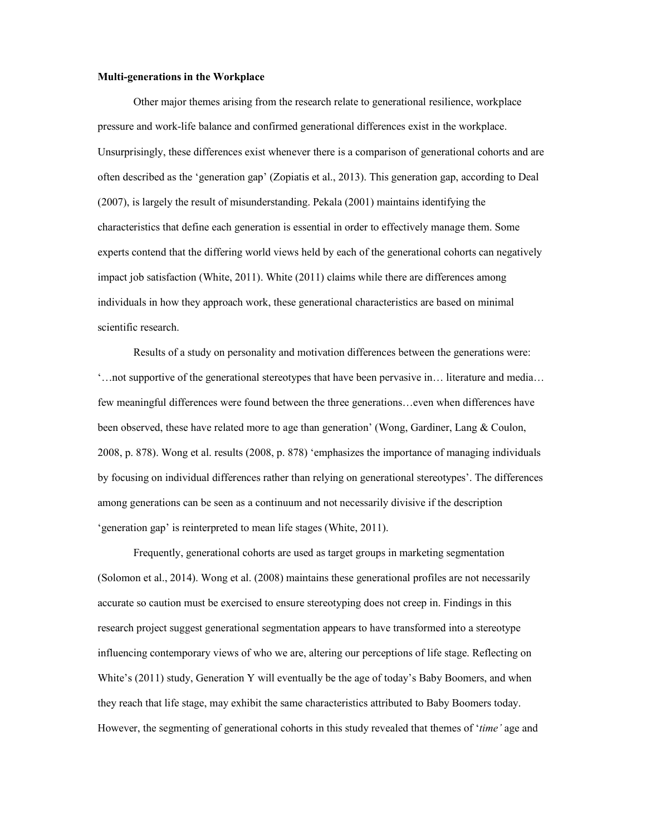#### **Multi-generations in the Workplace**

Other major themes arising from the research relate to generational resilience, workplace pressure and work-life balance and confirmed generational differences exist in the workplace. Unsurprisingly, these differences exist whenever there is a comparison of generational cohorts and are often described as the 'generation gap' (Zopiatis et al., 2013). This generation gap, according to Deal (2007), is largely the result of misunderstanding. Pekala (2001) maintains identifying the characteristics that define each generation is essential in order to effectively manage them. Some experts contend that the differing world views held by each of the generational cohorts can negatively impact job satisfaction (White, 2011). White (2011) claims while there are differences among individuals in how they approach work, these generational characteristics are based on minimal scientific research.

Results of a study on personality and motivation differences between the generations were: '…not supportive of the generational stereotypes that have been pervasive in… literature and media… few meaningful differences were found between the three generations…even when differences have been observed, these have related more to age than generation' (Wong, Gardiner, Lang & Coulon, 2008, p. 878). Wong et al. results (2008, p. 878) 'emphasizes the importance of managing individuals by focusing on individual differences rather than relying on generational stereotypes'. The differences among generations can be seen as a continuum and not necessarily divisive if the description 'generation gap' is reinterpreted to mean life stages (White, 2011).

Frequently, generational cohorts are used as target groups in marketing segmentation (Solomon et al., 2014). Wong et al. (2008) maintains these generational profiles are not necessarily accurate so caution must be exercised to ensure stereotyping does not creep in. Findings in this research project suggest generational segmentation appears to have transformed into a stereotype influencing contemporary views of who we are, altering our perceptions of life stage. Reflecting on White's (2011) study, Generation Y will eventually be the age of today's Baby Boomers, and when they reach that life stage, may exhibit the same characteristics attributed to Baby Boomers today. However, the segmenting of generational cohorts in this study revealed that themes of '*time'* age and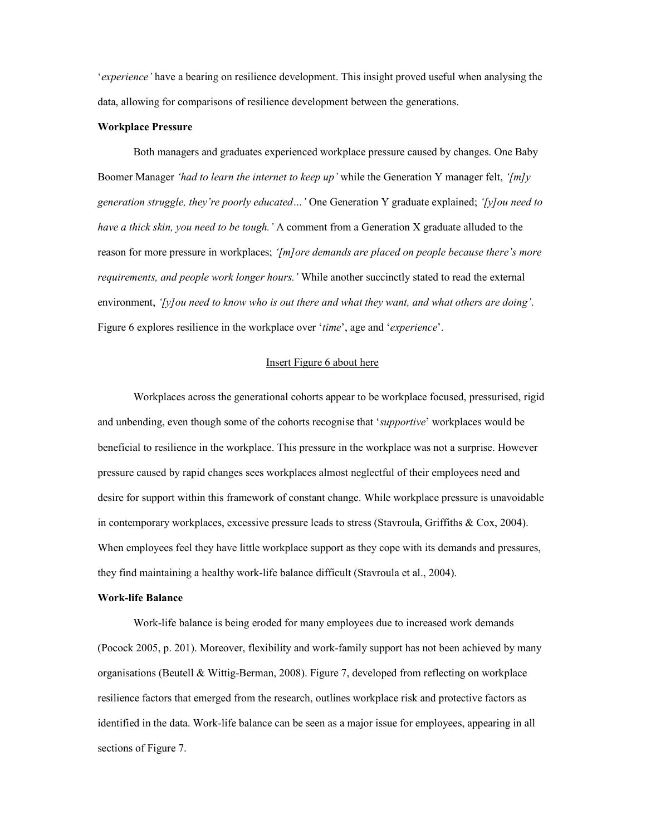'*experience'* have a bearing on resilience development. This insight proved useful when analysing the data, allowing for comparisons of resilience development between the generations.

#### **Workplace Pressure**

Both managers and graduates experienced workplace pressure caused by changes. One Baby Boomer Manager *'had to learn the internet to keep up'* while the Generation Y manager felt, *'[m]y generation struggle, they're poorly educated…'* One Generation Y graduate explained; *'[y]ou need to have a thick skin, you need to be tough.'* A comment from a Generation X graduate alluded to the reason for more pressure in workplaces; *'[m]ore demands are placed on people because there's more requirements, and people work longer hours.'* While another succinctly stated to read the external environment, *'[y]ou need to know who is out there and what they want, and what others are doing'*. Figure 6 explores resilience in the workplace over '*time*', age and '*experience*'.

#### Insert Figure 6 about here

Workplaces across the generational cohorts appear to be workplace focused, pressurised, rigid and unbending, even though some of the cohorts recognise that '*supportive*' workplaces would be beneficial to resilience in the workplace. This pressure in the workplace was not a surprise. However pressure caused by rapid changes sees workplaces almost neglectful of their employees need and desire for support within this framework of constant change. While workplace pressure is unavoidable in contemporary workplaces, excessive pressure leads to stress (Stavroula, Griffiths & Cox, 2004). When employees feel they have little workplace support as they cope with its demands and pressures, they find maintaining a healthy work-life balance difficult (Stavroula et al., 2004).

#### **Work-life Balance**

Work-life balance is being eroded for many employees due to increased work demands (Pocock 2005, p. 201). Moreover, flexibility and work-family support has not been achieved by many organisations (Beutell & Wittig-Berman, 2008). Figure 7, developed from reflecting on workplace resilience factors that emerged from the research, outlines workplace risk and protective factors as identified in the data. Work-life balance can be seen as a major issue for employees, appearing in all sections of Figure 7.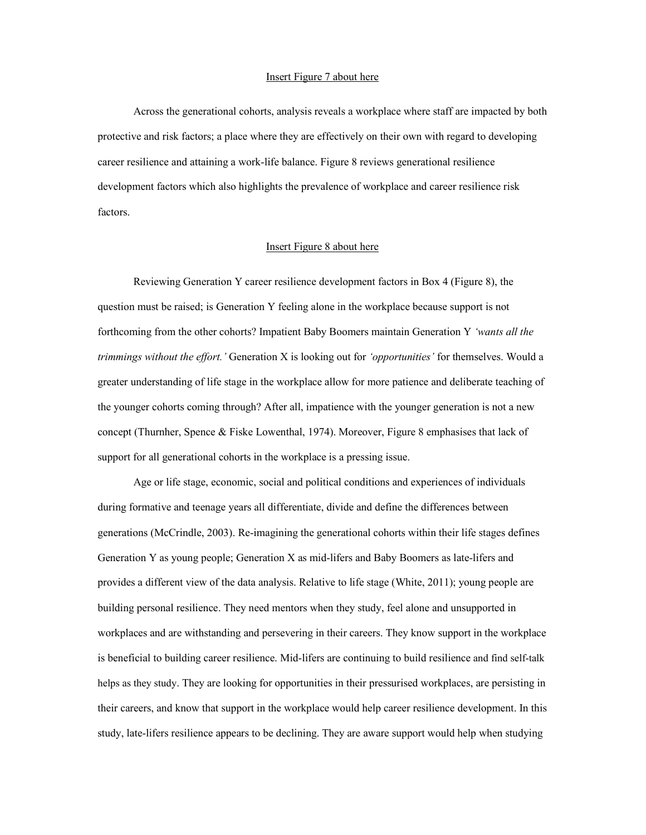# Insert Figure 7 about here

Across the generational cohorts, analysis reveals a workplace where staff are impacted by both protective and risk factors; a place where they are effectively on their own with regard to developing career resilience and attaining a work-life balance. Figure 8 reviews generational resilience development factors which also highlights the prevalence of workplace and career resilience risk factors.

#### Insert Figure 8 about here

Reviewing Generation Y career resilience development factors in Box 4 (Figure 8), the question must be raised; is Generation Y feeling alone in the workplace because support is not forthcoming from the other cohorts? Impatient Baby Boomers maintain Generation Y *'wants all the trimmings without the effort.'* Generation X is looking out for *'opportunities'* for themselves. Would a greater understanding of life stage in the workplace allow for more patience and deliberate teaching of the younger cohorts coming through? After all, impatience with the younger generation is not a new concept (Thurnher, Spence & Fiske Lowenthal, 1974). Moreover, Figure 8 emphasises that lack of support for all generational cohorts in the workplace is a pressing issue.

Age or life stage, economic, social and political conditions and experiences of individuals during formative and teenage years all differentiate, divide and define the differences between generations (McCrindle, 2003). Re-imagining the generational cohorts within their life stages defines Generation Y as young people; Generation X as mid-lifers and Baby Boomers as late-lifers and provides a different view of the data analysis. Relative to life stage (White, 2011); young people are building personal resilience. They need mentors when they study, feel alone and unsupported in workplaces and are withstanding and persevering in their careers. They know support in the workplace is beneficial to building career resilience. Mid-lifers are continuing to build resilience and find self-talk helps as they study. They are looking for opportunities in their pressurised workplaces, are persisting in their careers, and know that support in the workplace would help career resilience development. In this study, late-lifers resilience appears to be declining. They are aware support would help when studying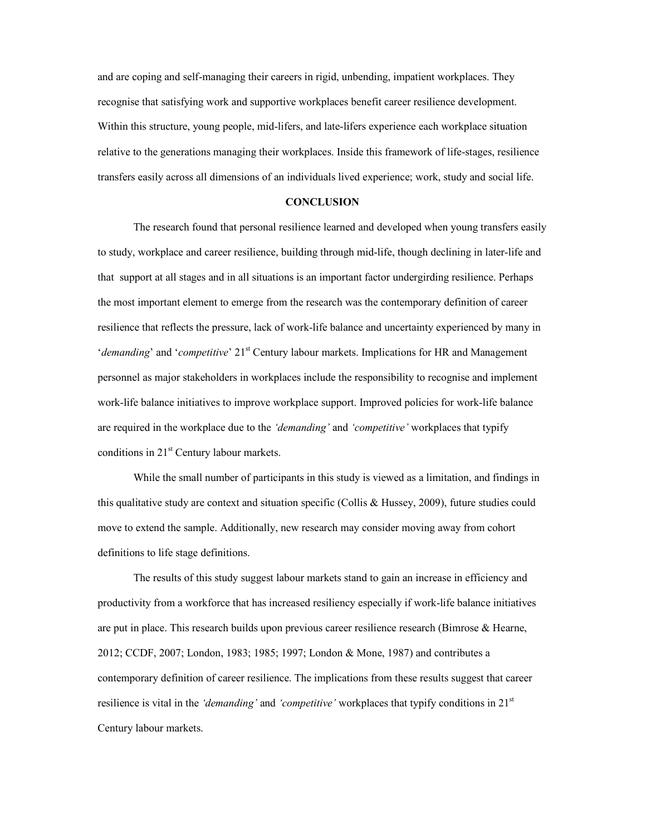and are coping and self-managing their careers in rigid, unbending, impatient workplaces. They recognise that satisfying work and supportive workplaces benefit career resilience development. Within this structure, young people, mid-lifers, and late-lifers experience each workplace situation relative to the generations managing their workplaces. Inside this framework of life-stages, resilience transfers easily across all dimensions of an individuals lived experience; work, study and social life.

#### **CONCLUSION**

The research found that personal resilience learned and developed when young transfers easily to study, workplace and career resilience, building through mid-life, though declining in later-life and that support at all stages and in all situations is an important factor undergirding resilience. Perhaps the most important element to emerge from the research was the contemporary definition of career resilience that reflects the pressure, lack of work-life balance and uncertainty experienced by many in *'demanding'* and '*competitive'* 21<sup>st</sup> Century labour markets. Implications for HR and Management personnel as major stakeholders in workplaces include the responsibility to recognise and implement work-life balance initiatives to improve workplace support. Improved policies for work-life balance are required in the workplace due to the *'demanding'* and *'competitive'* workplaces that typify conditions in 21<sup>st</sup> Century labour markets.

While the small number of participants in this study is viewed as a limitation, and findings in this qualitative study are context and situation specific (Collis & Hussey, 2009), future studies could move to extend the sample. Additionally, new research may consider moving away from cohort definitions to life stage definitions.

The results of this study suggest labour markets stand to gain an increase in efficiency and productivity from a workforce that has increased resiliency especially if work-life balance initiatives are put in place. This research builds upon previous career resilience research (Bimrose & Hearne, 2012; CCDF, 2007; London, 1983; 1985; 1997; London & Mone, 1987) and contributes a contemporary definition of career resilience. The implications from these results suggest that career resilience is vital in the *'demanding'* and *'competitive'* workplaces that typify conditions in 21<sup>st</sup> Century labour markets.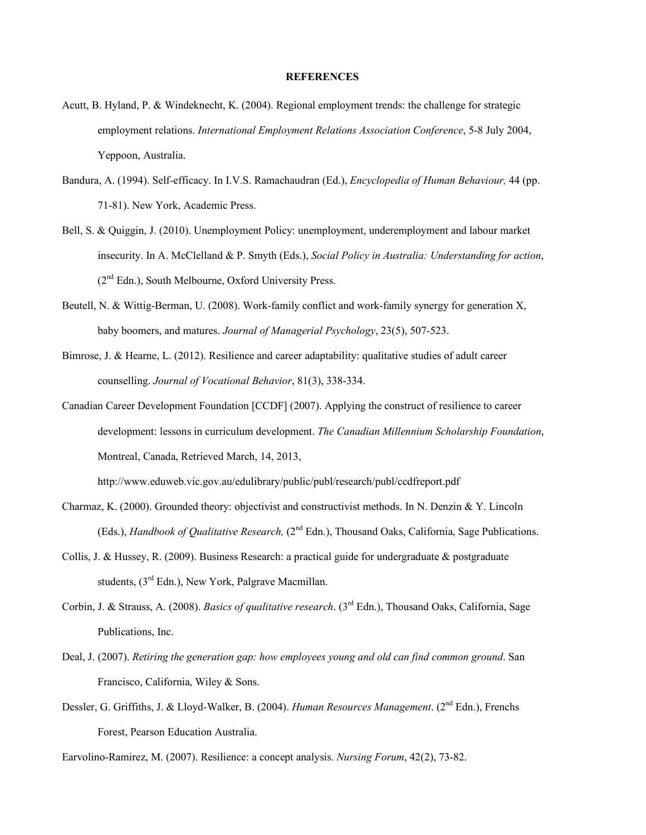#### **REFERENCES**

- Acutt, B. Hyland, P. & Windeknecht, K. (2004). Regional employment trends: the challenge for strategic employment relations. *International Employment Relations Association Conference*, 5-8 July 2004, Yeppoon, Australia.
- Bandura, A. (1994). Self-efficacy. In I.V.S. Ramachaudran (Ed.), *Encyclopedia of Human Behaviour,* 44 (pp. 71-81). New York, Academic Press.
- Bell, S. & Quiggin, J. (2010). Unemployment Policy: unemployment, underemployment and labour market insecurity. In A. McClelland & P. Smyth (Eds.), *Social Policy in Australia: Understanding for action*, (2nd Edn.), South Melbourne, Oxford University Press.
- Beutell, N. & Wittig-Berman, U. (2008). Work-family conflict and work-family synergy for generation X, baby boomers, and matures. *Journal of Managerial Psychology*, 23(5), 507-523.
- Bimrose, J. & Hearne, L. (2012). Resilience and career adaptability: qualitative studies of adult career counselling. *Journal of Vocational Behavior*, 81(3), 338-334.
- Canadian Career Development Foundation [CCDF] (2007). Applying the construct of resilience to career development: lessons in curriculum development. *The Canadian Millennium Scholarship Foundation*, Montreal, Canada, Retrieved March, 14, 2013,

http://www.eduweb.vic.gov.au/edulibrary/public/publ/research/publ/ccdfreport.pdf

- Charmaz, K. (2000). Grounded theory: objectivist and constructivist methods. In N. Denzin & Y. Lincoln (Eds.), *Handbook of Qualitative Research*, (2<sup>nd</sup> Edn.), Thousand Oaks, California, Sage Publications.
- Collis, J. & Hussey, R. (2009). Business Research: a practical guide for undergraduate & postgraduate students, (3rd Edn.), New York, Palgrave Macmillan.
- Corbin, J. & Strauss, A. (2008). *Basics of qualitative research*. (3rd Edn.), Thousand Oaks, California, Sage Publications, Inc.
- Deal, J. (2007). *Retiring the generation gap: how employees young and old can find common ground*. San Francisco, California, Wiley & Sons.
- Dessler, G. Griffiths, J. & Lloyd-Walker, B. (2004). *Human Resources Management*. (2nd Edn.), Frenchs Forest, Pearson Education Australia.

Earvolino-Ramirez, M. (2007). Resilience: a concept analysis. *Nursing Forum*, 42(2), 73-82.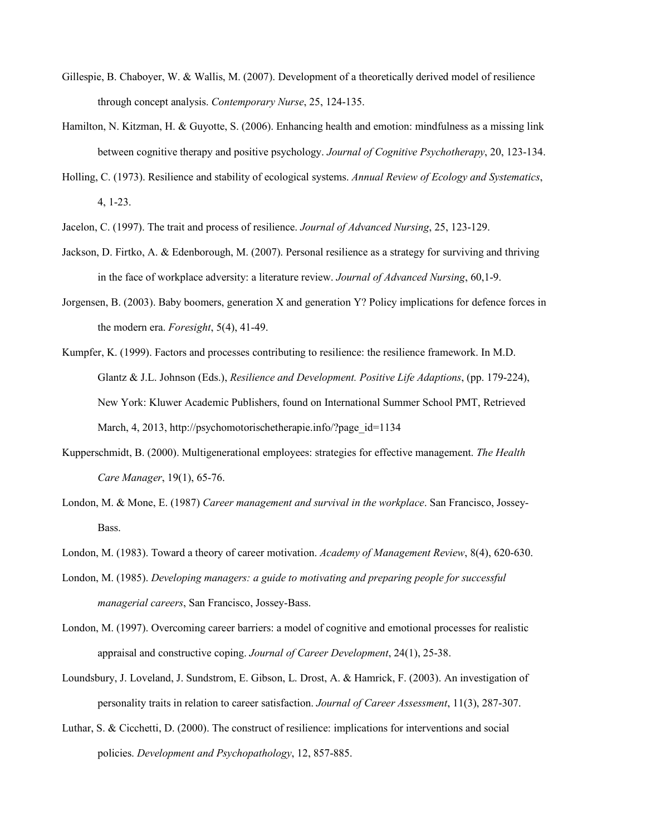- Gillespie, B. Chaboyer, W. & Wallis, M. (2007). Development of a theoretically derived model of resilience through concept analysis. *Contemporary Nurse*, 25, 124-135.
- Hamilton, N. Kitzman, H. & Guyotte, S. (2006). Enhancing health and emotion: mindfulness as a missing link between cognitive therapy and positive psychology. *Journal of Cognitive Psychotherapy*, 20, 123-134.
- Holling, C. (1973). Resilience and stability of ecological systems. *Annual Review of Ecology and Systematics*, 4, 1-23.
- Jacelon, C. (1997). The trait and process of resilience. *Journal of Advanced Nursing*, 25, 123-129.
- Jackson, D. Firtko, A. & Edenborough, M. (2007). Personal resilience as a strategy for surviving and thriving in the face of workplace adversity: a literature review. *Journal of Advanced Nursing*, 60,1-9.
- Jorgensen, B. (2003). Baby boomers, generation X and generation Y? Policy implications for defence forces in the modern era. *Foresight*, 5(4), 41-49.
- Kumpfer, K. (1999). Factors and processes contributing to resilience: the resilience framework. In M.D. Glantz & J.L. Johnson (Eds.), *Resilience and Development. Positive Life Adaptions*, (pp. 179-224), New York: Kluwer Academic Publishers, found on International Summer School PMT, Retrieved March, 4, 2013, http://psychomotorischetherapie.info/?page\_id=1134
- Kupperschmidt, B. (2000). Multigenerational employees: strategies for effective management. *The Health Care Manager*, 19(1), 65-76.
- London, M. & Mone, E. (1987) *Career management and survival in the workplace*. San Francisco, Jossey-Bass.
- London, M. (1983). Toward a theory of career motivation. *Academy of Management Review*, 8(4), 620-630.
- London, M. (1985). *Developing managers: a guide to motivating and preparing people for successful managerial careers*, San Francisco, Jossey-Bass.
- London, M. (1997). Overcoming career barriers: a model of cognitive and emotional processes for realistic appraisal and constructive coping. *Journal of Career Development*, 24(1), 25-38.
- Loundsbury, J. Loveland, J. Sundstrom, E. Gibson, L. Drost, A. & Hamrick, F. (2003). An investigation of personality traits in relation to career satisfaction. *Journal of Career Assessment*, 11(3), 287-307.
- Luthar, S. & Cicchetti, D. (2000). The construct of resilience: implications for interventions and social policies. *Development and Psychopathology*, 12, 857-885.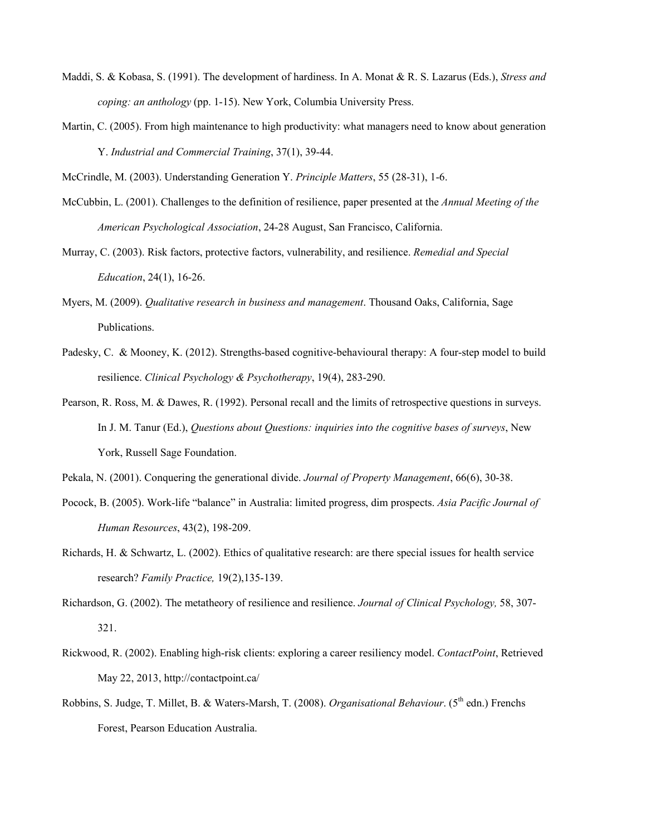- Maddi, S. & Kobasa, S. (1991). The development of hardiness. In A. Monat & R. S. Lazarus (Eds.), *Stress and coping: an anthology* (pp. 1-15). New York, Columbia University Press.
- Martin, C. (2005). From high maintenance to high productivity: what managers need to know about generation Y. *Industrial and Commercial Training*, 37(1), 39-44.

McCrindle, M. (2003). Understanding Generation Y. *Principle Matters*, 55 (28-31), 1-6.

- McCubbin, L. (2001). Challenges to the definition of resilience, paper presented at the *Annual Meeting of the American Psychological Association*, 24-28 August, San Francisco, California.
- Murray, C. (2003). Risk factors, protective factors, vulnerability, and resilience. *Remedial and Special Education*, 24(1), 16-26.
- Myers, M. (2009). *Qualitative research in business and management*. Thousand Oaks, California, Sage Publications.
- Padesky, C. & Mooney, K. (2012). Strengths-based cognitive-behavioural therapy: A four-step model to build resilience. *Clinical Psychology & Psychotherapy*, 19(4), 283-290.
- Pearson, R. Ross, M. & Dawes, R. (1992). Personal recall and the limits of retrospective questions in surveys. In J. M. Tanur (Ed.), *Questions about Questions: inquiries into the cognitive bases of surveys*, New York, Russell Sage Foundation.
- Pekala, N. (2001). Conquering the generational divide. *Journal of Property Management*, 66(6), 30-38.
- Pocock, B. (2005). Work-life "balance" in Australia: limited progress, dim prospects. *Asia Pacific Journal of Human Resources*, 43(2), 198-209.
- Richards, H. & Schwartz, L. (2002). Ethics of qualitative research: are there special issues for health service research? *Family Practice,* 19(2),135-139.
- Richardson, G. (2002). The metatheory of resilience and resilience. *Journal of Clinical Psychology,* 58, 307- 321.
- Rickwood, R. (2002). Enabling high-risk clients: exploring a career resiliency model. *ContactPoint*, Retrieved May 22, 2013, http://contactpoint.ca/
- Robbins, S. Judge, T. Millet, B. & Waters-Marsh, T. (2008). *Organisational Behaviour*. (5<sup>th</sup> edn.) Frenchs Forest, Pearson Education Australia.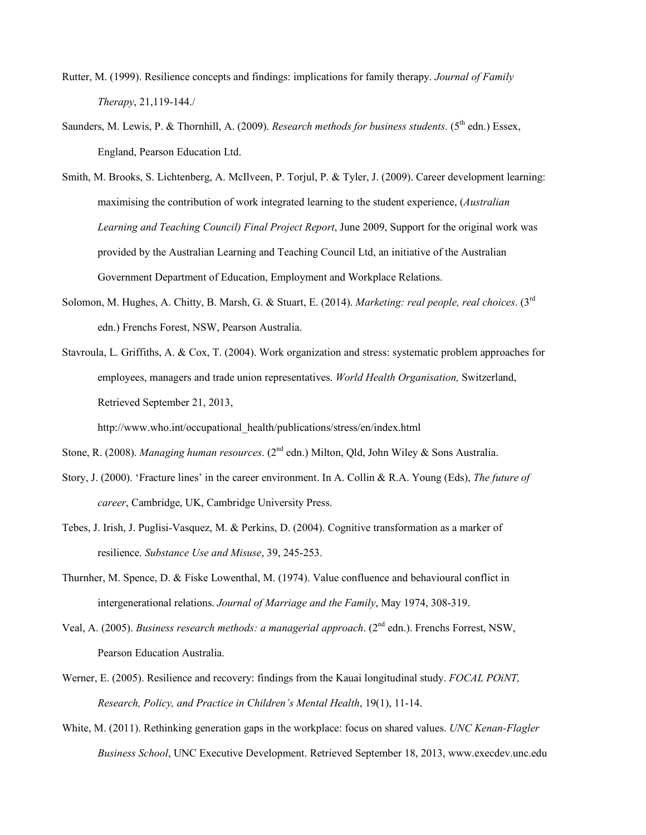- Rutter, M. (1999). Resilience concepts and findings: implications for family therapy. *Journal of Family Therapy*, 21,119-144./
- Saunders, M. Lewis, P. & Thornhill, A. (2009). *Research methods for business students*. (5<sup>th</sup> edn.) Essex, England, Pearson Education Ltd.
- Smith, M. Brooks, S. Lichtenberg, A. McIlveen, P. Torjul, P. & Tyler, J. (2009). Career development learning: maximising the contribution of work integrated learning to the student experience, (*Australian Learning and Teaching Council) Final Project Report*, June 2009, Support for the original work was provided by the Australian Learning and Teaching Council Ltd, an initiative of the Australian Government Department of Education, Employment and Workplace Relations.
- Solomon, M. Hughes, A. Chitty, B. Marsh, G. & Stuart, E. (2014). *Marketing: real people, real choices*. (3rd edn.) Frenchs Forest, NSW, Pearson Australia.
- Stavroula, L. Griffiths, A. & Cox, T. (2004). Work organization and stress: systematic problem approaches for employees, managers and trade union representatives. *World Health Organisation,* Switzerland, Retrieved September 21, 2013,

http://www.who.int/occupational\_health/publications/stress/en/index.html

Stone, R. (2008). *Managing human resources*. (2nd edn.) Milton, Qld, John Wiley & Sons Australia.

- Story, J. (2000). 'Fracture lines' in the career environment. In A. Collin & R.A. Young (Eds), *The future of career*, Cambridge, UK, Cambridge University Press.
- Tebes, J. Irish, J. Puglisi-Vasquez, M. & Perkins, D. (2004). Cognitive transformation as a marker of resilience. *Substance Use and Misuse*, 39, 245-253.
- Thurnher, M. Spence, D. & Fiske Lowenthal, M. (1974). Value confluence and behavioural conflict in intergenerational relations. *Journal of Marriage and the Family*, May 1974, 308-319.
- Veal, A. (2005). *Business research methods: a managerial approach*. (2nd edn.). Frenchs Forrest, NSW, Pearson Education Australia.
- Werner, E. (2005). Resilience and recovery: findings from the Kauai longitudinal study. *FOCAL POiNT, Research, Policy, and Practice in Children's Mental Health*, 19(1), 11-14.
- White, M. (2011). Rethinking generation gaps in the workplace: focus on shared values. *UNC Kenan-Flagler Business School*, UNC Executive Development. Retrieved September 18, 2013, www.execdev.unc.edu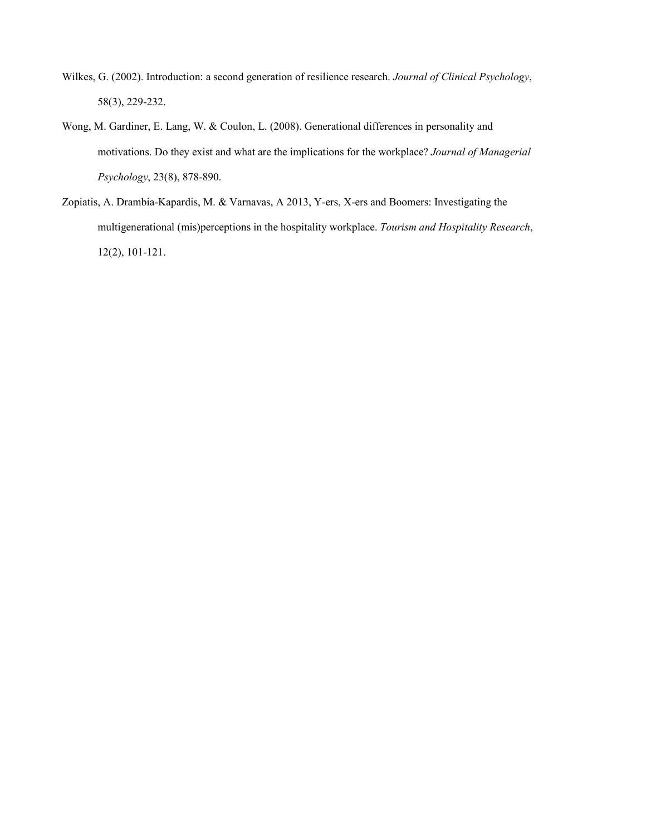- Wilkes, G. (2002). Introduction: a second generation of resilience research. *Journal of Clinical Psychology*, 58(3), 229-232.
- Wong, M. Gardiner, E. Lang, W. & Coulon, L. (2008). Generational differences in personality and motivations. Do they exist and what are the implications for the workplace? *Journal of Managerial Psychology*, 23(8), 878-890.
- Zopiatis, A. Drambia-Kapardis, M. & Varnavas, A 2013, Y-ers, X-ers and Boomers: Investigating the multigenerational (mis)perceptions in the hospitality workplace. *Tourism and Hospitality Research*, 12(2), 101-121.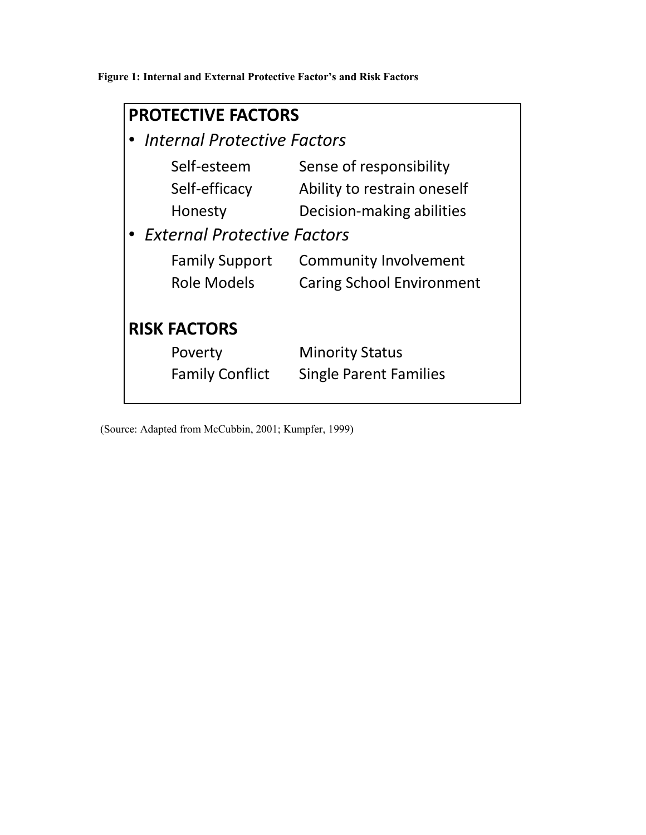**Figure 1: Internal and External Protective Factor's and Risk Factors** 

| <b>PROTECTIVE FACTORS</b>                                                     |                                                                                     |  |  |  |  |
|-------------------------------------------------------------------------------|-------------------------------------------------------------------------------------|--|--|--|--|
| <b>Internal Protective Factors</b>                                            |                                                                                     |  |  |  |  |
| Self-esteem<br>Self-efficacy<br>Honesty<br><b>External Protective Factors</b> | Sense of responsibility<br>Ability to restrain oneself<br>Decision-making abilities |  |  |  |  |
| <b>Family Support</b><br><b>Role Models</b>                                   | <b>Community Involvement</b><br><b>Caring School Environment</b>                    |  |  |  |  |
| <b>RISK FACTORS</b><br>Poverty<br><b>Family Conflict</b>                      | <b>Minority Status</b><br><b>Single Parent Families</b>                             |  |  |  |  |

(Source: Adapted from McCubbin, 2001; Kumpfer, 1999)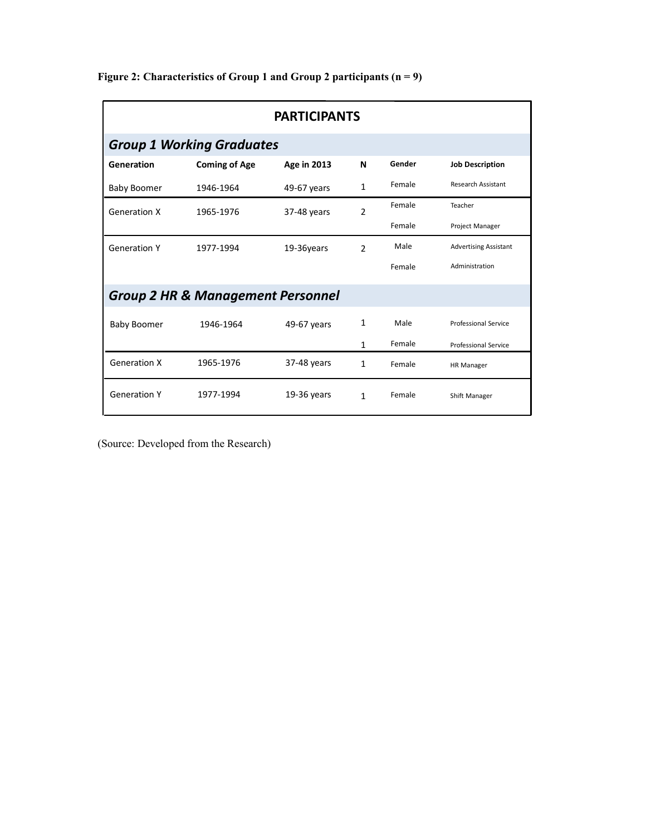| <b>PARTICIPANTS</b>                          |                                  |                    |                |        |                              |
|----------------------------------------------|----------------------------------|--------------------|----------------|--------|------------------------------|
|                                              | <b>Group 1 Working Graduates</b> |                    |                |        |                              |
| Generation                                   | <b>Coming of Age</b>             | <b>Age in 2013</b> | N              | Gender | <b>Job Description</b>       |
| <b>Baby Boomer</b>                           | 1946-1964                        | 49-67 years        | $\mathbf{1}$   | Female | <b>Research Assistant</b>    |
| <b>Generation X</b>                          | 1965-1976                        | 37-48 years        | $\overline{2}$ | Female | Teacher                      |
|                                              |                                  |                    |                | Female | Project Manager              |
| <b>Generation Y</b>                          | 1977-1994                        | 19-36years         | $\mathcal{P}$  | Male   | <b>Advertising Assistant</b> |
|                                              |                                  |                    |                | Female | Administration               |
| <b>Group 2 HR &amp; Management Personnel</b> |                                  |                    |                |        |                              |
| <b>Baby Boomer</b>                           | 1946-1964                        | 49-67 years        | 1              | Male   | Professional Service         |
|                                              |                                  |                    | $\mathbf{1}$   | Female | <b>Professional Service</b>  |
| <b>Generation X</b>                          | 1965-1976                        | 37-48 years        | 1              | Female | <b>HR Manager</b>            |
| <b>Generation Y</b>                          | 1977-1994                        | $19-36$ years      | $\mathbf{1}$   | Female | Shift Manager                |

**Figure 2: Characteristics of Group 1 and Group 2 participants (n = 9)**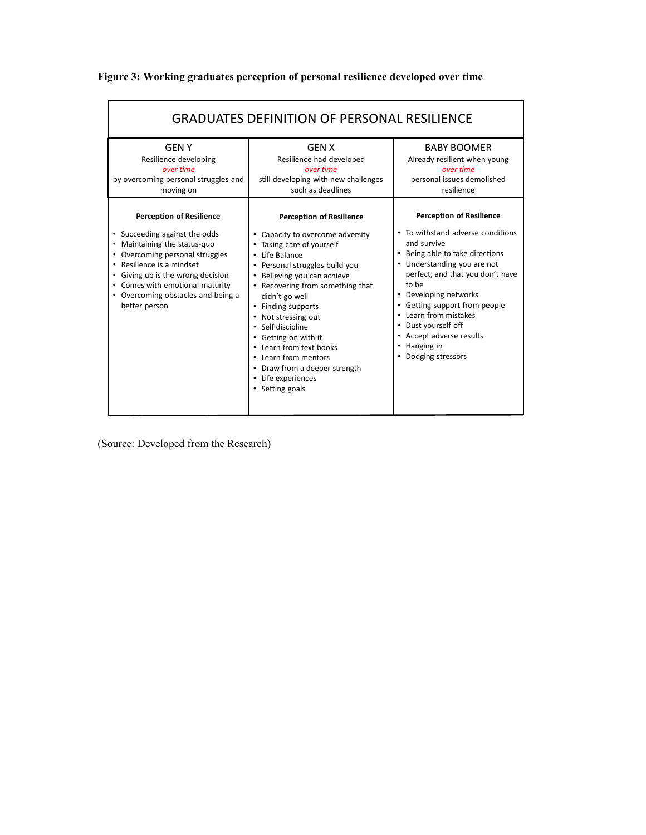| <b>GRADUATES DEFINITION OF PERSONAL RESILIENCE</b>                                                                                                                                                                                                                                              |                                                                                                                                                                                                                                                                                                                                                                                                                                                                     |                                                                                                                                                                                                                                                                                                                                                                                            |  |  |  |
|-------------------------------------------------------------------------------------------------------------------------------------------------------------------------------------------------------------------------------------------------------------------------------------------------|---------------------------------------------------------------------------------------------------------------------------------------------------------------------------------------------------------------------------------------------------------------------------------------------------------------------------------------------------------------------------------------------------------------------------------------------------------------------|--------------------------------------------------------------------------------------------------------------------------------------------------------------------------------------------------------------------------------------------------------------------------------------------------------------------------------------------------------------------------------------------|--|--|--|
| <b>GFNY</b><br>Resilience developing<br>over time<br>by overcoming personal struggles and<br>moving on                                                                                                                                                                                          | <b>GEN X</b><br>Resilience had developed<br>over time<br>still developing with new challenges<br>such as deadlines                                                                                                                                                                                                                                                                                                                                                  | <b>BABY BOOMER</b><br>Already resilient when young<br>over time<br>personal issues demolished<br>resilience                                                                                                                                                                                                                                                                                |  |  |  |
| <b>Perception of Resilience</b><br>• Succeeding against the odds<br>• Maintaining the status-quo<br>• Overcoming personal struggles<br>• Resilience is a mindset<br>• Giving up is the wrong decision<br>• Comes with emotional maturity<br>• Overcoming obstacles and being a<br>better person | <b>Perception of Resilience</b><br>Capacity to overcome adversity<br>٠<br>Taking care of yourself<br>Life Balance<br>٠<br>Personal struggles build you<br>Believing you can achieve<br>Recovering from something that<br>didn't go well<br>Finding supports<br>٠<br>Not stressing out<br>٠<br>Self discipline<br>Getting on with it<br>Learn from text books<br>Learn from mentors<br>$\bullet$<br>Draw from a deeper strength<br>Life experiences<br>Setting goals | <b>Perception of Resilience</b><br>• To withstand adverse conditions<br>and survive<br>• Being able to take directions<br>• Understanding you are not<br>perfect, and that you don't have<br>to be<br>• Developing networks<br>• Getting support from people<br>• Learn from mistakes<br>• Dust yourself off<br>• Accept adverse results<br>Hanging in<br>$\bullet$<br>• Dodging stressors |  |  |  |

**Figure 3: Working graduates perception of personal resilience developed over time**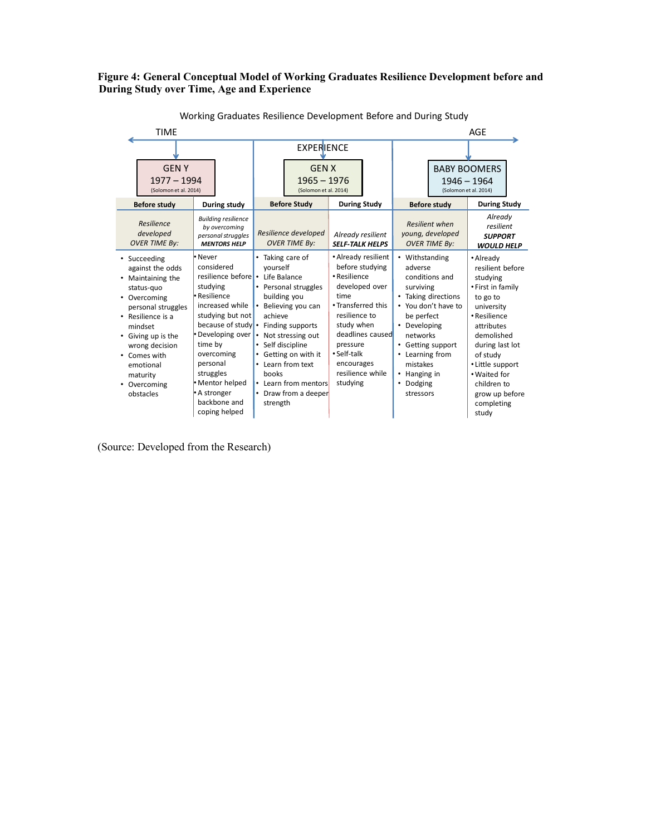#### **Figure 4: General Conceptual Model of Working Graduates Resilience Development before and During Study over Time, Age and Experience**

| <b>TIME</b>                                                                                                                                                                                                                                                                                                                                                                                                                                                                                                                                             |                                                                                                                                                                                                                                                                                        |                                                                                                                                                                                                                                    |                                                                                                                                                                                                                                                                      | AGE                                                                                                                                                                                                                                                             |
|---------------------------------------------------------------------------------------------------------------------------------------------------------------------------------------------------------------------------------------------------------------------------------------------------------------------------------------------------------------------------------------------------------------------------------------------------------------------------------------------------------------------------------------------------------|----------------------------------------------------------------------------------------------------------------------------------------------------------------------------------------------------------------------------------------------------------------------------------------|------------------------------------------------------------------------------------------------------------------------------------------------------------------------------------------------------------------------------------|----------------------------------------------------------------------------------------------------------------------------------------------------------------------------------------------------------------------------------------------------------------------|-----------------------------------------------------------------------------------------------------------------------------------------------------------------------------------------------------------------------------------------------------------------|
|                                                                                                                                                                                                                                                                                                                                                                                                                                                                                                                                                         | <b>EXPERIENCE</b>                                                                                                                                                                                                                                                                      |                                                                                                                                                                                                                                    |                                                                                                                                                                                                                                                                      |                                                                                                                                                                                                                                                                 |
| <b>GENY</b><br>$1977 - 1994$<br>(Solomon et al. 2014)                                                                                                                                                                                                                                                                                                                                                                                                                                                                                                   |                                                                                                                                                                                                                                                                                        | <b>GENX</b><br>$1965 - 1976$<br>(Solomon et al. 2014)                                                                                                                                                                              |                                                                                                                                                                                                                                                                      | <b>BABY BOOMERS</b><br>$1946 - 1964$<br>(Solomon et al. 2014)                                                                                                                                                                                                   |
| <b>Before study</b><br>During study                                                                                                                                                                                                                                                                                                                                                                                                                                                                                                                     | <b>Before Study</b>                                                                                                                                                                                                                                                                    | <b>During Study</b>                                                                                                                                                                                                                | <b>Before study</b>                                                                                                                                                                                                                                                  | <b>During Study</b>                                                                                                                                                                                                                                             |
| <b>Building resilience</b><br>Resilience<br>by overcoming<br>developed<br>personal struggles<br><b>OVER TIME By:</b><br><b>MENTORS HELP</b>                                                                                                                                                                                                                                                                                                                                                                                                             | Resilience developed<br><b>OVER TIME By:</b>                                                                                                                                                                                                                                           | Already resilient<br><b>SELF-TALK HELPS</b>                                                                                                                                                                                        | <b>Resilient when</b><br>young, developed<br><b>OVER TIME By:</b>                                                                                                                                                                                                    | Already<br>resilient<br><b>SUPPORT</b><br><b>WOULD HELP</b>                                                                                                                                                                                                     |
| • Never<br>• Succeeding<br>considered<br>against the odds<br>resilience before •<br>Maintaining the<br>٠<br>studying<br>status-quo<br>• Resilience<br>Overcoming<br>٠<br>increased while<br>personal struggles<br>studying but not<br>• Resilience is a<br>because of study •<br>mindset<br>• Developing over<br>Giving up is the<br>٠<br>time by<br>wrong decision<br>overcoming<br>• Comes with<br>personal<br>emotional<br>struggles<br>maturity<br>• Mentor helped<br>Overcoming<br>٠<br>• A stronger<br>obstacles<br>backbone and<br>coping helped | Taking care of<br>vourself<br>Life Balance<br>Personal struggles<br>building you<br>Believing you can<br>achieve<br>Finding supports<br>Not stressing out<br>Self discipline<br>Getting on with it<br>Learn from text<br>books<br>Learn from mentors<br>Draw from a deeper<br>strength | • Already resilient<br>before studying<br>• Resilience<br>developed over<br>time<br>. Transferred this<br>resilience to<br>study when<br>deadlines caused<br>pressure<br>• Self-talk<br>encourages<br>resilience while<br>studying | Withstanding<br>$\bullet$<br>adverse<br>conditions and<br>surviving<br>• Taking directions<br>You don't have to<br>be perfect<br>$\bullet$<br>Developing<br>networks<br>Getting support<br>٠<br>Learning from<br>mistakes<br>Hanging in<br>Dodging<br>٠<br>stressors | • Already<br>resilient before<br>studying<br>• First in family<br>to go to<br>university<br>• Resilience<br>attributes<br>demolished<br>during last lot<br>of study<br>• Little support<br>. Waited for<br>children to<br>grow up before<br>completing<br>study |

Working Graduates Resilience Development Before and During Study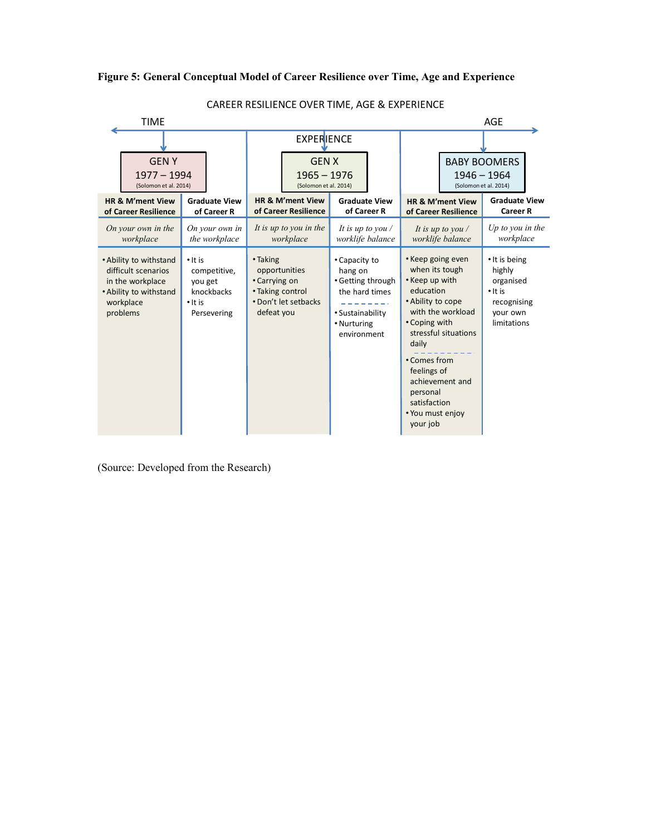# **Figure 5: General Conceptual Model of Career Resilience over Time, Age and Experience**



CAREER RESILIENCE OVER TIME, AGE & EXPERIENCE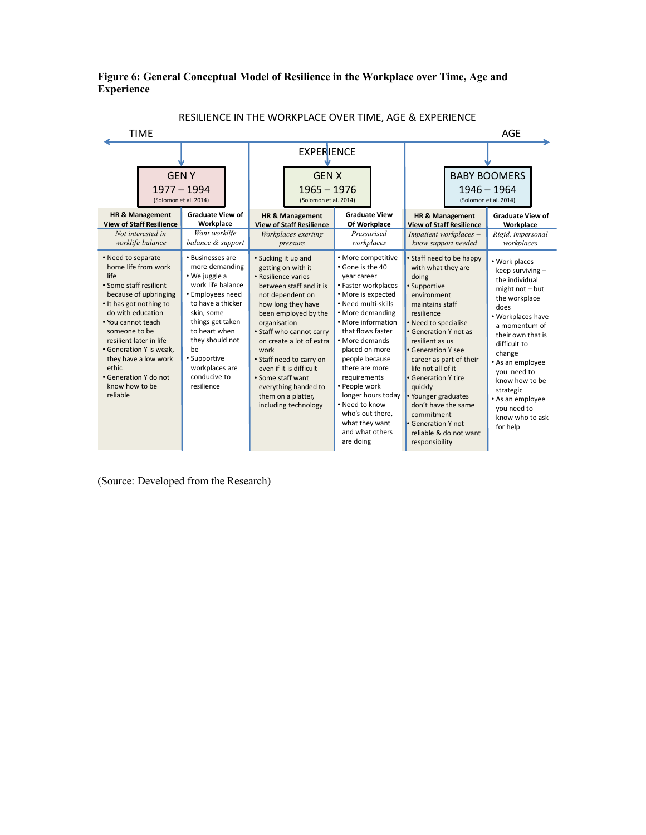# **Figure 6: General Conceptual Model of Resilience in the Workplace over Time, Age and Experience**

RESILIENCE IN THE WORKPLACE OVER TIME, AGE & EXPERIENCE

| <b>TIME</b>                                                                                                                                                                                                                                                                                                                                |                                                                                                                                                                                                                                                               |                                                                                                                                                                                                                                                                                                                                                                                                 |                                                                                                                                                                                                                                                                                                                                                                                                                 | AGE                                                                                                                                                                                                                                                                                                                                                                           |                                                   |                                                                                                                                                                                                                                                                                                                            |
|--------------------------------------------------------------------------------------------------------------------------------------------------------------------------------------------------------------------------------------------------------------------------------------------------------------------------------------------|---------------------------------------------------------------------------------------------------------------------------------------------------------------------------------------------------------------------------------------------------------------|-------------------------------------------------------------------------------------------------------------------------------------------------------------------------------------------------------------------------------------------------------------------------------------------------------------------------------------------------------------------------------------------------|-----------------------------------------------------------------------------------------------------------------------------------------------------------------------------------------------------------------------------------------------------------------------------------------------------------------------------------------------------------------------------------------------------------------|-------------------------------------------------------------------------------------------------------------------------------------------------------------------------------------------------------------------------------------------------------------------------------------------------------------------------------------------------------------------------------|---------------------------------------------------|----------------------------------------------------------------------------------------------------------------------------------------------------------------------------------------------------------------------------------------------------------------------------------------------------------------------------|
|                                                                                                                                                                                                                                                                                                                                            |                                                                                                                                                                                                                                                               | <b>EXPERIENCE</b>                                                                                                                                                                                                                                                                                                                                                                               |                                                                                                                                                                                                                                                                                                                                                                                                                 |                                                                                                                                                                                                                                                                                                                                                                               |                                                   |                                                                                                                                                                                                                                                                                                                            |
| <b>HR &amp; Management</b><br><b>View of Staff Resilience</b><br>Not interested in<br>worklife balance                                                                                                                                                                                                                                     | <b>GENY</b><br>$1977 - 1994$<br>(Solomon et al. 2014)<br><b>Graduate View of</b><br>Workplace<br>Want worklife<br>balance & support                                                                                                                           | <b>GEN X</b><br>$1965 - 1976$<br>(Solomon et al. 2014)<br><b>HR &amp; Management</b><br><b>View of Staff Resilience</b><br>Workplaces exerting<br>pressure                                                                                                                                                                                                                                      | <b>Graduate View</b><br>Of Workplace<br>Pressurised<br>workplaces                                                                                                                                                                                                                                                                                                                                               | <b>HR &amp; Management</b><br>Impatient workplaces -<br>know support needed                                                                                                                                                                                                                                                                                                   | <b>View of Staff Resilience</b>                   | <b>BABY BOOMERS</b><br>$1946 - 1964$<br>(Solomon et al. 2014)<br><b>Graduate View of</b><br>Workplace<br>Rigid, impersonal<br>workplaces                                                                                                                                                                                   |
| • Need to separate<br>home life from work<br>life<br>• Some staff resilient<br>because of upbringing<br>• It has got nothing to<br>do with education<br>• You cannot teach<br>someone to be<br>resilient later in life<br>• Generation Y is weak,<br>they have a low work<br>ethic.<br>• Generation Y do not<br>know how to be<br>reliable | • Businesses are<br>more demanding<br>• We juggle a<br>work life balance<br>• Employees need<br>to have a thicker<br>skin, some<br>things get taken<br>to heart when<br>they should not<br>be<br>• Supportive<br>workplaces are<br>conducive to<br>resilience | • Sucking it up and<br>getting on with it<br>• Resilience varies<br>between staff and it is<br>not dependent on<br>how long they have<br>been employed by the<br>organisation<br>• Staff who cannot carry<br>on create a lot of extra<br>work<br>• Staff need to carry on<br>even if it is difficult<br>• Some staff want<br>everything handed to<br>them on a platter,<br>including technology | • More competitive<br>. Gone is the 40<br>year career<br>• Faster workplaces<br>• More is expected<br>. Need multi-skills<br>• More demanding<br>• More information<br>that flows faster<br>• More demands<br>placed on more<br>people because<br>there are more<br>requirements<br>• People work<br>longer hours today<br>. Need to know<br>who's out there,<br>what they want<br>and what others<br>are doing | • Staff need to be happy<br>with what they are<br>doing<br>• Supportive<br>environment<br>maintains staff<br>resilience<br>• Need to specialise<br>• Generation Y not as<br>resilient as us<br>• Generation Y see<br>life not all of it<br>• Generation Y tire<br>quickly<br>• Younger graduates<br>don't have the same<br>commitment<br>• Generation Y not<br>responsibility | career as part of their<br>reliable & do not want | • Work places<br>keep surviving -<br>the individual<br>$might not - but$<br>the workplace<br>does<br>• Workplaces have<br>a momentum of<br>their own that is<br>difficult to<br>change<br>• As an employee<br>vou need to<br>know how to be<br>strategic<br>• As an employee<br>you need to<br>know who to ask<br>for help |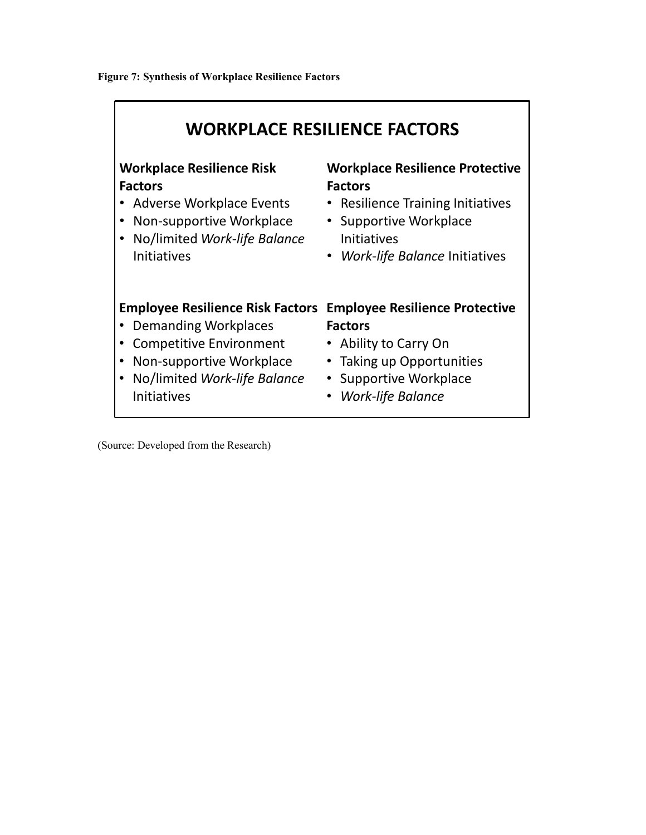| <b>WORKPLACE RESILIENCE FACTORS</b>     |                                        |  |  |  |  |
|-----------------------------------------|----------------------------------------|--|--|--|--|
| <b>Workplace Resilience Risk</b>        | <b>Workplace Resilience Protective</b> |  |  |  |  |
| <b>Factors</b>                          | <b>Factors</b>                         |  |  |  |  |
| Adverse Workplace Events                | <b>Resilience Training Initiatives</b> |  |  |  |  |
| Non-supportive Workplace                | • Supportive Workplace                 |  |  |  |  |
| No/limited Work-life Balance            | <b>Initiatives</b>                     |  |  |  |  |
| <b>Initiatives</b>                      | • Work-life Balance Initiatives        |  |  |  |  |
| <b>Employee Resilience Risk Factors</b> | <b>Employee Resilience Protective</b>  |  |  |  |  |
| Demanding Workplaces                    | <b>Factors</b>                         |  |  |  |  |
| <b>Competitive Environment</b>          | Ability to Carry On                    |  |  |  |  |
| Non-supportive Workplace                | • Taking up Opportunities              |  |  |  |  |
| No/limited Work-life Balance            | <b>Supportive Workplace</b>            |  |  |  |  |
| <b>Initiatives</b>                      | <b>Work-life Balance</b>               |  |  |  |  |